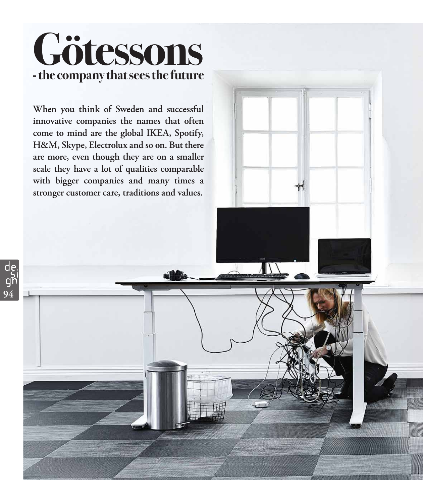## **Götessons - the company that sees the future**

**When you think of Sweden and successful innovative companies the names that often come to mind are the global IKEA, Spotify, H&M, Skype, Electrolux and so on. But there are more, even though they are on a smaller scale they have a lot of qualities comparable with bigger companies and many times a stronger customer care, traditions and values.**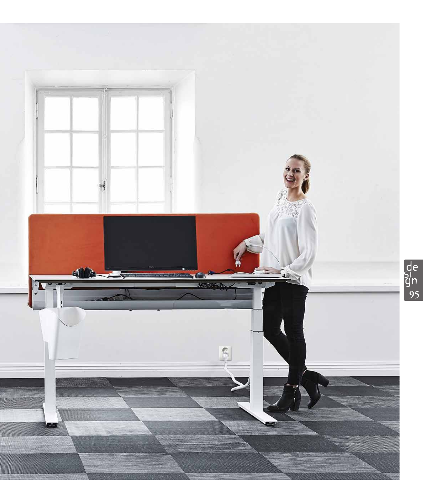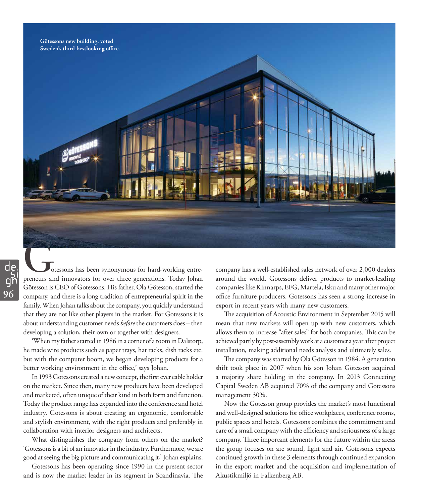

otessons has been synonymous for hard-working entrepreneurs and innovators for over three generations. Today Johan Götesson is CEO of Gotessons. His father, Ola Götesson, started the company, and there is a long tradition of entrepreneurial spirit in the family. When Johan talks about the company, you quickly understand that they are not like other players in the market. For Gotessons it is about understanding customer needs *before* the customers does – then developing a solution, their own or together with designers.

'When my father started in 1986 in a corner of a room in Dalstorp, he made wire products such as paper trays, hat racks, dish racks etc. but with the computer boom, we began developing products for a better working environment in the office,' says Johan.

In 1993 Gotessons created a new concept, the first ever cable holder on the market. Since then, many new products have been developed and marketed, often unique of their kind in both form and function. Today the product range has expanded into the conference and hotel industry. Gotessons is about creating an ergonomic, comfortable and stylish environment, with the right products and preferably in collaboration with interior designers and architects.

What distinguishes the company from others on the market? 'Gotessons is a bit of an innovator in the industry. Furthermore, we are good at seeing the big picture and communicating it,' Johan explains.

Gotessons has been operating since 1990 in the present sector and is now the market leader in its segment in Scandinavia. The company has a well-established sales network of over 2,000 dealers around the world. Gotessons deliver products to market-leading companies like Kinnarps, EFG, Martela, Isku and many other major office furniture producers. Gotessons has seen a strong increase in export in recent years with many new customers.

The acquisition of Acoustic Environment in September 2015 will mean that new markets will open up with new customers, which allows them to increase "after sales" for both companies. This can be achieved partly by post-assembly work at a customer a year after project installation, making additional needs analysis and ultimately sales.

The company was started by Ola Götesson in 1984. A generation shift took place in 2007 when his son Johan Götesson acquired a majority share holding in the company. In 2013 Connecting Capital Sweden AB acquired 70% of the company and Gotessons management 30%.

Now the Gotesson group provides the market's most functional and well-designed solutions for office workplaces, conference rooms, public spaces and hotels. Gotessons combines the commitment and care of a small company with the efficiency and seriousness of a large company. Three important elements for the future within the areas the group focuses on are sound, light and air. Gotessons expects continued growth in these 3 elements through continued expansion in the export market and the acquisition and implementation of Akustikmiljö in Falkenberg AB.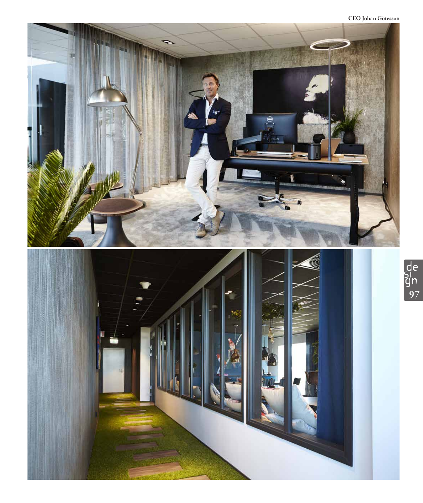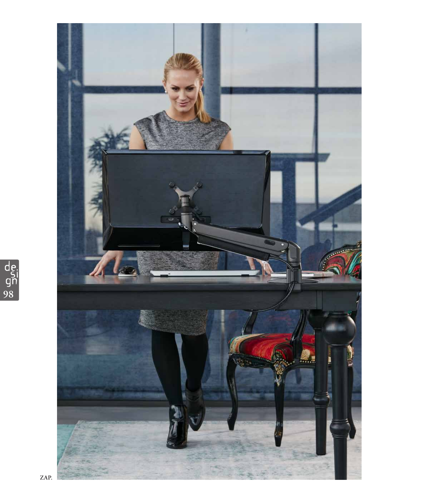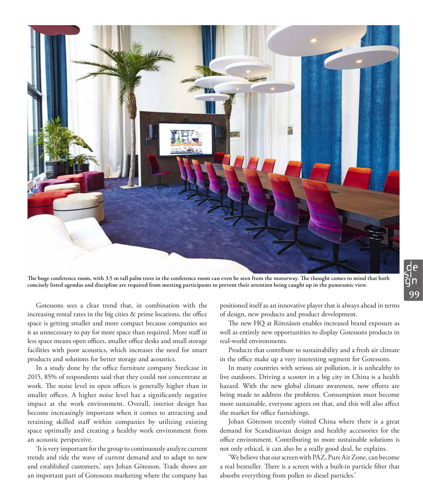

**The huge conference room, with 3.5 m tall palm trees in the conference room can even be seen from the motorway. The thought comes to mind that both concisely listed agendas and discipline are required from meeting participants to prevent their attention being caught up in the panoramic view.**

**99** de<br>si an<br>gn

Gotessons sees a clear trend that, in combination with the increasing rental rates in the big cities & prime locations, the office space is getting smaller and more compact because companies see it as unnecessary to pay for more space than required. More staff in less space means open offices, smaller office desks and small storage facilities with poor acoustics, which increases the need for smart products and solutions for better storage and acoustics.

In a study done by the office furniture company Steelcase in 2015, 85% of respondents said that they could not concentrate at work. The noise level in open offices is generally higher than in smaller offices. A higher noise level has a significantly negative impact at the work environment. Overall, interior design has become increasingly important when it comes to attracting and retaining skilled staff within companies by utilizing existing space optimally and creating a healthy work environment from an acoustic perspective.

'It is very important for the group to continuously analyze current trends and ride the wave of current demand and to adapt to new and established customers,' says Johan Götesson. Trade shows are an important part of Gotessons marketing where the company has

positioned itself as an innovative player that is always ahead in terms of design, new products and product development.

The new HQ at Rönnåsen enables increased brand exposure as well as entirely new opportunities to display Gotessons products in real-world environments.

Products that contribute to sustainability and a fresh air climate in the office make up a very interesting segment for Gotessons.

In many countries with serious air pollution, it is unhealthy to live outdoors. Driving a scooter in a big city in China is a health hazard. With the new global climate awareness, now efforts are being made to address the problems. Consumption must become more sustainable, everyone agrees on that, and this will also affect the market for office furnishings.

Johan Götesson recently visited China where there is a great demand for Scandinavian design and healthy accessories for the office environment. Contributing to more sustainable solutions is not only ethical, it can also be a really good deal, he explains.

'We believe that our screen with PAZ, Pure Air Zone, can become a real bestseller. There is a screen with a built-in particle filter that absorbs everything from pollen to diesel particles.'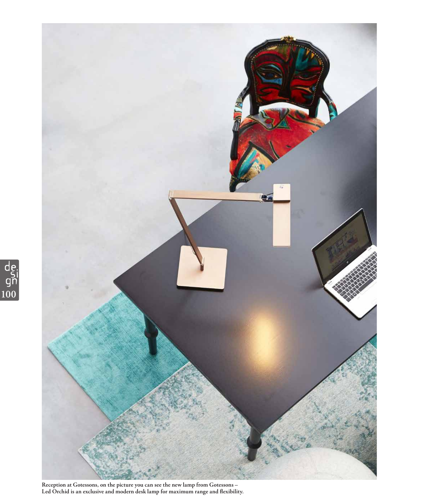

**Reception at Gotessons, on the picture you can see the new lamp from Gotessons – Led Orchid is an exclusive and modern desk lamp for maximum range and flexibility.** 

**100** de.<br>Si gn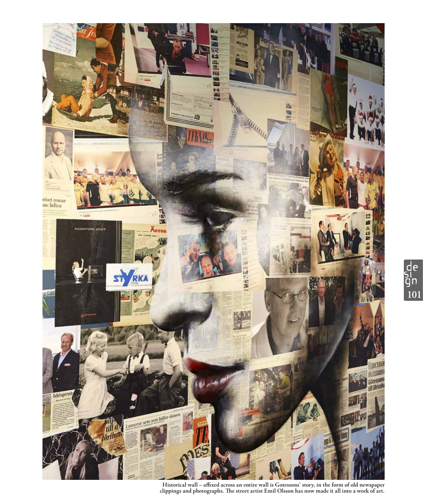

**Historical wall – affixed across an entire wall is Gotessons' story, in the form of old newspaper clippings and photographs. The street artist Emil Olsson has now made it all into a work of art.**

**101** de<br>si an<br>gn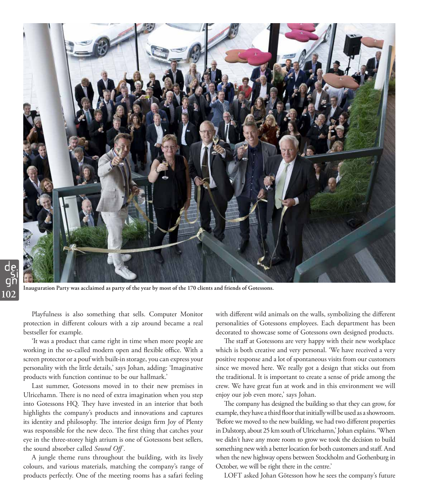

**102** de.<br>Si gn

**Inauguration Party was acclaimed as party of the year by most of the 170 clients and friends of Gotessons.**

Playfulness is also something that sells. Computer Monitor protection in different colours with a zip around became a real bestseller for example.

'It was a product that came right in time when more people are working in the so-called modern open and flexible office. With a screen protector or a pouf with built-in storage, you can express your personality with the little details,' says Johan, adding: 'Imaginative products with function continue to be our hallmark.'

Last summer, Gotessons moved in to their new premises in Ulricehamn. There is no need of extra imagination when you step into Gotessons HQ. They have invested in an interior that both highlights the company's products and innovations and captures its identity and philosophy. The interior design firm Joy of Plenty was responsible for the new deco. The first thing that catches your eye in the three-storey high atrium is one of Gotessons best sellers, the sound absorber called *Sound Off* .

A jungle theme runs throughout the building, with its lively colours, and various materials, matching the company's range of products perfectly. One of the meeting rooms has a safari feeling

with different wild animals on the walls, symbolizing the different personalities of Gotessons employees. Each department has been decorated to showcase some of Gotessons own designed products.

The staff at Gotessons are very happy with their new workplace which is both creative and very personal. 'We have received a very positive response and a lot of spontaneous visits from our customers since we moved here. We really got a design that sticks out from the traditional. It is important to create a sense of pride among the crew. We have great fun at work and in this environment we will enjoy our job even more,' says Johan.

The company has designed the building so that they can grow, for example, they have a third floor that initially will be used as a showroom. 'Before we moved to the new building, we had two different properties in Dalstorp, about 25 km south of Ulricehamn,' Johan explains. 'When we didn´t have any more room to grow we took the decision to build something new with a better location for both customers and staff. And when the new highway opens between Stockholm and Gothenburg in October, we will be right there in the centre.'

LOFT asked Johan Götesson how he sees the company's future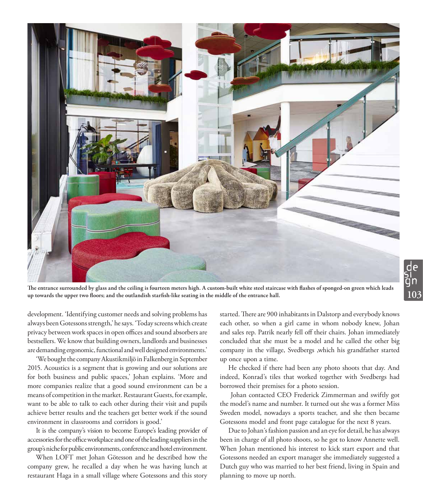

**The entrance surrounded by glass and the ceiling is fourteen meters high. A custom-built white steel staircase with flashes of sponged-on green which leads up towards the upper two floors; and the outlandish starfish-like seating in the middle of the entrance hall. 103**

development. 'Identifying customer needs and solving problems has always been Gotessons strength,' he says. 'Today screens which create privacy between work spaces in open offices and sound absorbers are bestsellers. We know that building owners, landlords and businesses are demanding ergonomic, functional and well designed environments.'

'We bought the company Akustikmiljö in Falkenberg in September 2015. Acoustics is a segment that is growing and our solutions are for both business and public spaces,' Johan explains. 'More and more companies realize that a good sound environment can be a means of competition in the market. Restaurant Guests, for example, want to be able to talk to each other during their visit and pupils achieve better results and the teachers get better work if the sound environment in classrooms and corridors is good.'

It is the company's vision to become Europe's leading provider of accessories for the office workplace and one of the leading suppliers in the group's niche for public environments, conference and hotel environment.

When LOFT met Johan Götesson and he described how the company grew, he recalled a day when he was having lunch at restaurant Haga in a small village where Gotessons and this story

started. There are 900 inhabitants in Dalstorp and everybody knows each other, so when a girl came in whom nobody knew, Johan and sales rep. Patrik nearly fell off their chairs. Johan immediately concluded that she must be a model and he called the other big company in the village, Svedbergs ,which his grandfather started up once upon a time.

He checked if there had been any photo shoots that day. And indeed, Konrad's tiles that worked together with Svedbergs had borrowed their premises for a photo session.

 Johan contacted CEO Frederick Zimmerman and swiftly got the model's name and number. It turned out she was a former Miss Sweden model, nowadays a sports teacher, and she then became Gotessons model and front page catalogue for the next 8 years.

Due to Johan´s fashion passion and an eye for detail, he has always been in charge of all photo shoots, so he got to know Annette well. When Johan mentioned his interest to kick start export and that Gotessons needed an export manager she immediately suggested a Dutch guy who was married to her best friend, living in Spain and planning to move up north.